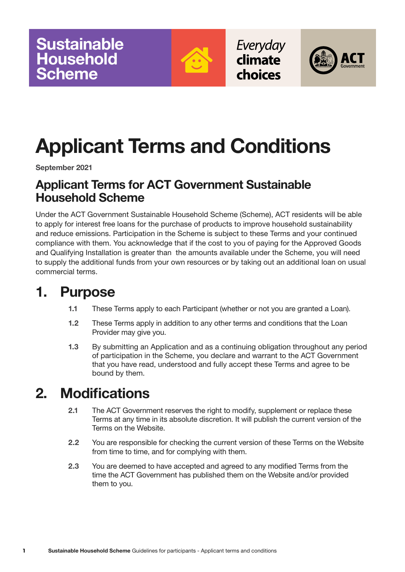

Everyday climate

choices



# **Applicant Terms and Conditions**

**September 2021**

#### **Applicant Terms for ACT Government Sustainable Household Scheme**

Under the ACT Government Sustainable Household Scheme (Scheme), ACT residents will be able to apply for interest free loans for the purchase of products to improve household sustainability and reduce emissions. Participation in the Scheme is subject to these Terms and your continued compliance with them. You acknowledge that if the cost to you of paying for the Approved Goods and Qualifying Installation is greater than the amounts available under the Scheme, you will need to supply the additional funds from your own resources or by taking out an additional loan on usual commercial terms.

### **1. Purpose**

- **1.1** These Terms apply to each Participant (whether or not you are granted a Loan).
- **1.2** These Terms apply in addition to any other terms and conditions that the Loan Provider may give you.
- **1.3** By submitting an Application and as a continuing obligation throughout any period of participation in the Scheme, you declare and warrant to the ACT Government that you have read, understood and fully accept these Terms and agree to be bound by them.

## **2. Modifications**

- **2.1** The ACT Government reserves the right to modify, supplement or replace these Terms at any time in its absolute discretion. It will publish the current version of the Terms on the Website.
- **2.2** You are responsible for checking the current version of these Terms on the Website from time to time, and for complying with them.
- **2.3** You are deemed to have accepted and agreed to any modified Terms from the time the ACT Government has published them on the Website and/or provided them to you.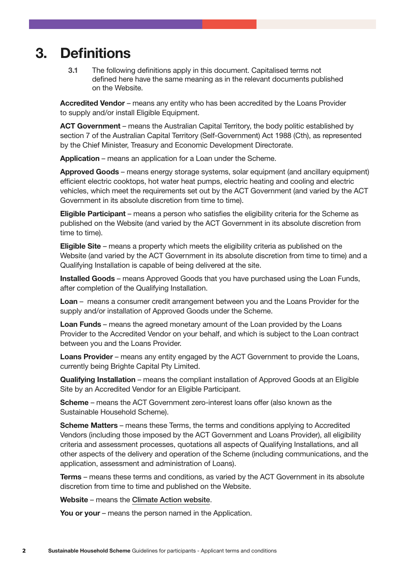### **3. Definitions**

**3.1** The following definitions apply in this document. Capitalised terms not defined here have the same meaning as in the relevant documents published on the Website.

 **Accredited Vendor** – means any entity who has been accredited by the Loans Provider to supply and/or install Eligible Equipment.

 **ACT Government** – means the Australian Capital Territory, the body politic established by section 7 of the Australian Capital Territory (Self-Government) Act 1988 (Cth), as represented by the Chief Minister, Treasury and Economic Development Directorate.

**Application** – means an application for a Loan under the Scheme.

 **Approved Goods** – means energy storage systems, solar equipment (and ancillary equipment) efficient electric cooktops, hot water heat pumps, electric heating and cooling and electric vehicles, which meet the requirements set out by the ACT Government (and varied by the ACT Government in its absolute discretion from time to time).

 **Eligible Participant** – means a person who satisfies the eligibility criteria for the Scheme as published on the Website (and varied by the ACT Government in its absolute discretion from time to time).

 **Eligible Site** – means a property which meets the eligibility criteria as published on the Website (and varied by the ACT Government in its absolute discretion from time to time) and a Qualifying Installation is capable of being delivered at the site.

 **Installed Goods** – means Approved Goods that you have purchased using the Loan Funds, after completion of the Qualifying Installation.

 **Loan** – means a consumer credit arrangement between you and the Loans Provider for the supply and/or installation of Approved Goods under the Scheme.

 **Loan Funds** – means the agreed monetary amount of the Loan provided by the Loans Provider to the Accredited Vendor on your behalf, and which is subject to the Loan contract between you and the Loans Provider.

**Loans Provider** – means any entity engaged by the ACT Government to provide the Loans, currently being Brighte Capital Pty Limited.

 **Qualifying Installation** – means the compliant installation of Approved Goods at an Eligible Site by an Accredited Vendor for an Eligible Participant.

 **Scheme** – means the ACT Government zero-interest loans offer (also known as the Sustainable Household Scheme).

 **Scheme Matters** – means these Terms, the terms and conditions applying to Accredited Vendors (including those imposed by the ACT Government and Loans Provider), all eligibility criteria and assessment processes, quotations all aspects of Qualifying Installations, and all other aspects of the delivery and operation of the Scheme (including communications, and the application, assessment and administration of Loans).

 **Terms** – means these terms and conditions, as varied by the ACT Government in its absolute discretion from time to time and published on the Website.

 **Website** – means the [Climate Action website](climatechoices.act.gov.au/policy-programs/sustainable-household-scheme).

**You or your** – means the person named in the Application.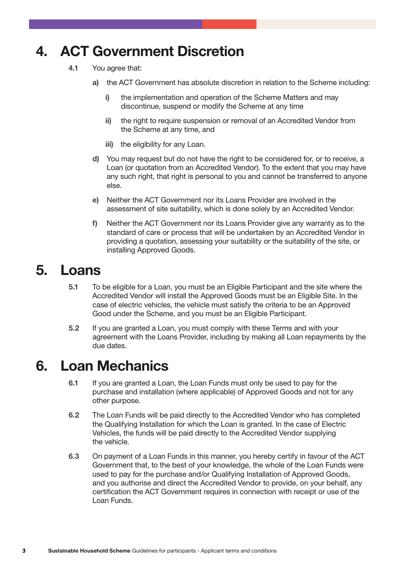## **4. ACT Government Discretion**

- **4.1** You agree that:
	- **a)** the ACT Government has absolute discretion in relation to the Scheme including:
		- **i)** the implementation and operation of the Scheme Matters and may discontinue, suspend or modify the Scheme at any time
		- **ii)** the right to require suspension or removal of an Accredited Vendor from the Scheme at any time, and
		- **iii)** the eligibility for any Loan.
	- **d)** You may request but do not have the right to be considered for, or to receive, a Loan (or quotation from an Accredited Vendor). To the extent that you may have any such right, that right is personal to you and cannot be transferred to anyone else.
	- **e)** Neither the ACT Government nor its Loans Provider are involved in the assessment of site suitability, which is done solely by an Accredited Vendor.
	- **f)** Neither the ACT Government nor its Loans Provider give any warranty as to the standard of care or process that will be undertaken by an Accredited Vendor in providing a quotation, assessing your suitability or the suitability of the site, or installing Approved Goods.

#### **5. Loans**

- **5.1** To be eligible for a Loan, you must be an Eligible Participant and the site where the Accredited Vendor will install the Approved Goods must be an Eligible Site. In the case of electric vehicles, the vehicle must satisfy the criteria to be an Approved Good under the Scheme, and you must be an Eligible Participant.
- **5.2** If you are granted a Loan, you must comply with these Terms and with your agreement with the Loans Provider, including by making all Loan repayments by the due dates.

#### **6. Loan Mechanics**

- **6.1** If you are granted a Loan, the Loan Funds must only be used to pay for the purchase and installation (where applicable) of Approved Goods and not for any other purpose.
- **6.2** The Loan Funds will be paid directly to the Accredited Vendor who has completed the Qualifying Installation for which the Loan is granted. In the case of Electric Vehicles, the funds will be paid directly to the Accredited Vendor supplying the vehicle.
- **6.3** On payment of a Loan Funds in this manner, you hereby certify in favour of the ACT Government that, to the best of your knowledge, the whole of the Loan Funds were used to pay for the purchase and/or Qualifying Installation of Approved Goods, and you authorise and direct the Accredited Vendor to provide, on your behalf, any certification the ACT Government requires in connection with receipt or use of the Loan Funds.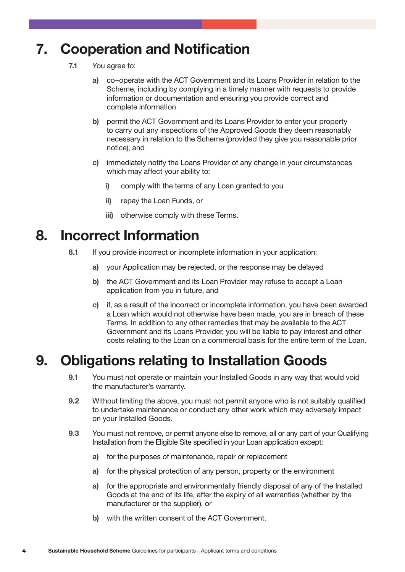## **7. Cooperation and Notification**

- **7.1** You agree to:
	- **a)** co–operate with the ACT Government and its Loans Provider in relation to the Scheme, including by complying in a timely manner with requests to provide information or documentation and ensuring you provide correct and complete information
	- **b)** permit the ACT Government and its Loans Provider to enter your property to carry out any inspections of the Approved Goods they deem reasonably necessary in relation to the Scheme (provided they give you reasonable prior notice), and
	- **c)** immediately notify the Loans Provider of any change in your circumstances which may affect your ability to:
		- **i)** comply with the terms of any Loan granted to you
		- **ii)** repay the Loan Funds, or
		- **iii)** otherwise comply with these Terms.

#### **8. Incorrect Information**

- **8.1** If you provide incorrect or incomplete information in your application:
	- **a)** your Application may be rejected, or the response may be delayed
	- **b)** the ACT Government and its Loan Provider may refuse to accept a Loan application from you in future, and
	- **c)** if, as a result of the incorrect or incomplete information, you have been awarded a Loan which would not otherwise have been made, you are in breach of these Terms. In addition to any other remedies that may be available to the ACT Government and its Loans Provider, you will be liable to pay interest and other costs relating to the Loan on a commercial basis for the entire term of the Loan.

### **9. Obligations relating to Installation Goods**

- **9.1** You must not operate or maintain your Installed Goods in any way that would void the manufacturer's warranty.
- **9.2** Without limiting the above, you must not permit anyone who is not suitably qualified to undertake maintenance or conduct any other work which may adversely impact on your Installed Goods.
- **9.3** You must not remove, or permit anyone else to remove, all or any part of your Qualifying Installation from the Eligible Site specified in your Loan application except:
	- **a)** for the purposes of maintenance, repair or replacement
	- **a)** for the physical protection of any person, property or the environment
	- **a)** for the appropriate and environmentally friendly disposal of any of the Installed Goods at the end of its life, after the expiry of all warranties (whether by the manufacturer or the supplier), or
	- **b)** with the written consent of the ACT Government.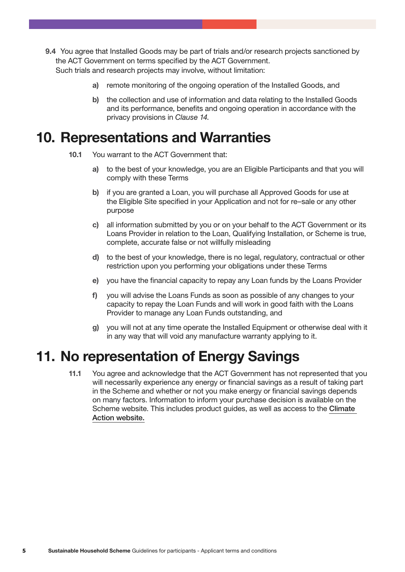- **9.4** You agree that Installed Goods may be part of trials and/or research projects sanctioned by the ACT Government on terms specified by the ACT Government. Such trials and research projects may involve, without limitation:
	- **a)** remote monitoring of the ongoing operation of the Installed Goods, and
	- **b)** the collection and use of information and data relating to the Installed Goods and its performance, benefits and ongoing operation in accordance with the privacy provisions in *Clause 14.*

#### **10. Representations and Warranties**

- **10.1** You warrant to the ACT Government that:
	- **a)** to the best of your knowledge, you are an Eligible Participants and that you will comply with these Terms
	- **b)** if you are granted a Loan, you will purchase all Approved Goods for use at the Eligible Site specified in your Application and not for re–sale or any other purpose
	- **c)** all information submitted by you or on your behalf to the ACT Government or its Loans Provider in relation to the Loan, Qualifying Installation, or Scheme is true, complete, accurate false or not willfully misleading
	- **d)** to the best of your knowledge, there is no legal, regulatory, contractual or other restriction upon you performing your obligations under these Terms
	- **e)** you have the financial capacity to repay any Loan funds by the Loans Provider
	- **f)** you will advise the Loans Funds as soon as possible of any changes to your capacity to repay the Loan Funds and will work in good faith with the Loans Provider to manage any Loan Funds outstanding, and
	- **g)** you will not at any time operate the Installed Equipment or otherwise deal with it in any way that will void any manufacture warranty applying to it.

#### **11. No representation of Energy Savings**

**11.1** You agree and acknowledge that the ACT Government has not represented that you will necessarily experience any energy or financial savings as a result of taking part in the Scheme and whether or not you make energy or financial savings depends on many factors. Information to inform your purchase decision is available on the Scheme website. This includes product guides, as well as access to the [Climate](climatechoices.act.gov.au/policy-programs/sustainable-household-scheme)  [Action website.](climatechoices.act.gov.au/policy-programs/sustainable-household-scheme)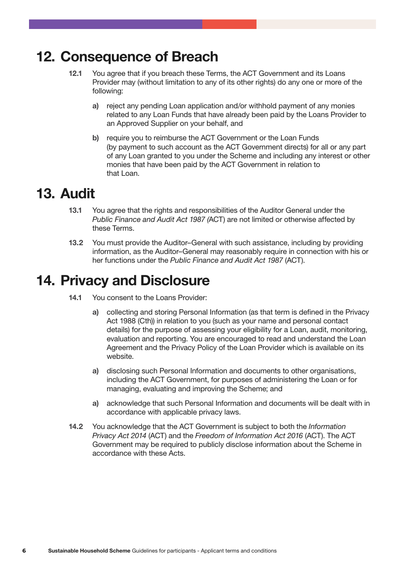### **12. Consequence of Breach**

- **12.1** You agree that if you breach these Terms, the ACT Government and its Loans Provider may (without limitation to any of its other rights) do any one or more of the following:
	- **a)** reject any pending Loan application and/or withhold payment of any monies related to any Loan Funds that have already been paid by the Loans Provider to an Approved Supplier on your behalf, and
	- **b)** require you to reimburse the ACT Government or the Loan Funds (by payment to such account as the ACT Government directs) for all or any part of any Loan granted to you under the Scheme and including any interest or other monies that have been paid by the ACT Government in relation to that Loan.

#### **13. Audit**

- **13.1** You agree that the rights and responsibilities of the Auditor General under the *Public Finance and Audit Act 1987 (*ACT) are not limited or otherwise affected by these Terms.
- **13.2** You must provide the Auditor–General with such assistance, including by providing information, as the Auditor–General may reasonably require in connection with his or her functions under the *Public Finance and Audit Act 1987* (ACT).

#### **14. Privacy and Disclosure**

- **14.1** You consent to the Loans Provider:
	- **a)** collecting and storing Personal Information (as that term is defined in the Privacy Act 1988 (Cth)) in relation to you (such as your name and personal contact details) for the purpose of assessing your eligibility for a Loan, audit, monitoring, evaluation and reporting. You are encouraged to read and understand the Loan Agreement and the Privacy Policy of the Loan Provider which is available on its website.
	- **a)** disclosing such Personal Information and documents to other organisations, including the ACT Government, for purposes of administering the Loan or for managing, evaluating and improving the Scheme; and
	- **a)** acknowledge that such Personal Information and documents will be dealt with in accordance with applicable privacy laws.
- **14.2** You acknowledge that the ACT Government is subject to both the *Information Privacy Act 2014* (ACT) and the *Freedom of Information Act 2016* (ACT). The ACT Government may be required to publicly disclose information about the Scheme in accordance with these Acts.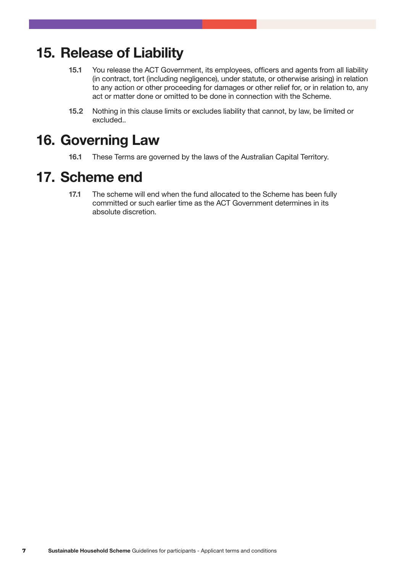#### **15. Release of Liability**

- **15.1** You release the ACT Government, its employees, officers and agents from all liability (in contract, tort (including negligence), under statute, or otherwise arising) in relation to any action or other proceeding for damages or other relief for, or in relation to, any act or matter done or omitted to be done in connection with the Scheme.
- **15.2** Nothing in this clause limits or excludes liability that cannot, by law, be limited or excluded..

### **16. Governing Law**

**16.1** These Terms are governed by the laws of the Australian Capital Territory.

#### **17. Scheme end**

**17.1** The scheme will end when the fund allocated to the Scheme has been fully committed or such earlier time as the ACT Government determines in its absolute discretion.